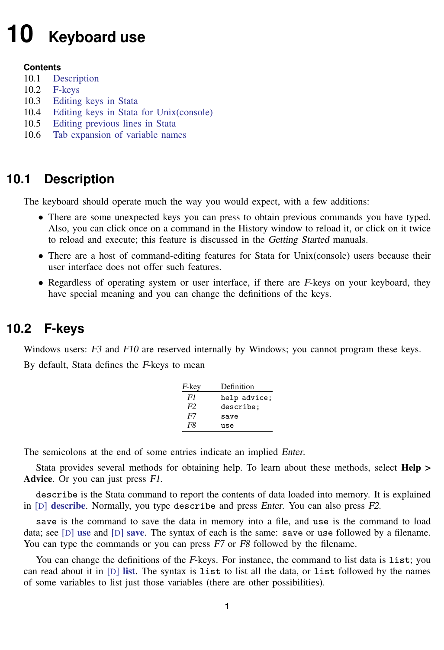# <span id="page-0-2"></span>**10 Keyboard use**

#### **Contents**

- 10.1 [Description](#page-0-0)<br>10.2 F-keys
- [F-keys](#page-0-1)
- 10.3 [Editing keys in Stata](#page-2-0)
- 10.4 [Editing keys in Stata for Unix\(console\)](#page-2-1)
- 10.5 [Editing previous lines in Stata](#page-4-0)
- <span id="page-0-0"></span>10.6 [Tab expansion of variable names](#page-5-0)

## **10.1 Description**

The keyboard should operate much the way you would expect, with a few additions:

- There are some unexpected keys you can press to obtain previous commands you have typed. Also, you can click once on a command in the History window to reload it, or click on it twice to reload and execute; this feature is discussed in the Getting Started manuals.
- There are a host of command-editing features for Stata for Unix(console) users because their user interface does not offer such features.
- <span id="page-0-1"></span>• Regardless of operating system or user interface, if there are F-keys on your keyboard, they have special meaning and you can change the definitions of the keys.

## **10.2 F-keys**

Windows users: F3 and F10 are reserved internally by Windows; you cannot program these keys. By default, Stata defines the F-keys to mean

| F-key | Definition   |
|-------|--------------|
| F1    | help advice; |
| F2    | describe;    |
| F7    | save         |
| F8    | use          |

The semicolons at the end of some entries indicate an implied Enter.

Stata provides several methods for obtaining help. To learn about these methods, select **Help** > Advice. Or you can just press F1.

describe is the Stata command to report the contents of data loaded into memory. It is explained in  $[D]$  [describe](https://www.stata.com/manuals/ddescribe.pdf#ddescribe). Normally, you type describe and press *Enter*. You can also press  $F2$ .

save is the command to save the data in memory into a file, and use is the command to load data; see  $[D]$  [use](https://www.stata.com/manuals/duse.pdf#duse) and  $[D]$  [save](https://www.stata.com/manuals/dsave.pdf#dsave). The syntax of each is the same: save or use followed by a filename. You can type the commands or you can press F7 or F8 followed by the filename.

You can change the definitions of the F-keys. For instance, the command to list data is list; you can read about it in  $[D]$  [list](https://www.stata.com/manuals/dlist.pdf#dlist). The syntax is list to list all the data, or list followed by the names of some variables to list just those variables (there are other possibilities).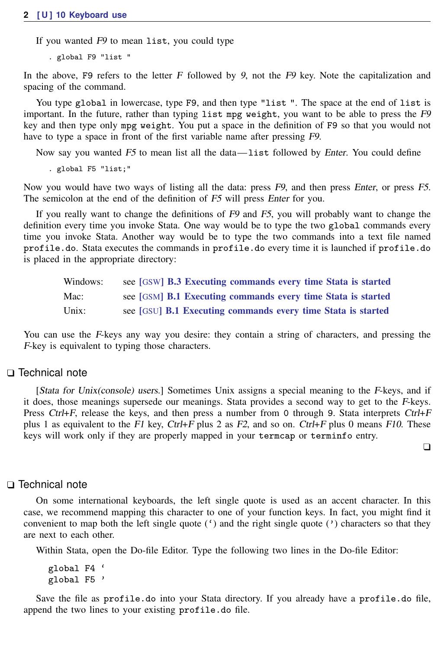If you wanted F9 to mean list, you could type

. global F9 "list "

In the above, F9 refers to the letter  $F$  followed by 9, not the  $F9$  key. Note the capitalization and spacing of the command.

You type global in lowercase, type F9, and then type "list ". The space at the end of list is important. In the future, rather than typing list mpg weight, you want to be able to press the  $F9$ key and then type only mpg weight. You put a space in the definition of F9 so that you would not have to type a space in front of the first variable name after pressing F9.

Now say you wanted F5 to mean list all the data—list followed by Enter. You could define

. global F5 "list;"

Now you would have two ways of listing all the data: press F9, and then press Enter, or press F5. The semicolon at the end of the definition of F5 will press Enter for you.

If you really want to change the definitions of F9 and F5, you will probably want to change the definition every time you invoke Stata. One way would be to type the two global commands every time you invoke Stata. Another way would be to type the two commands into a text file named profile.do. Stata executes the commands in profile.do every time it is launched if profile.do is placed in the appropriate directory:

| Windows: | see [GSW] <b>B.3</b> Executing commands every time Stata is started |
|----------|---------------------------------------------------------------------|
| Mac:     | see [GSM] <b>B.1 Executing commands every time Stata is started</b> |
| Unix:    | see [GSU] <b>B.1 Executing commands every time Stata is started</b> |

You can use the F-keys any way you desire: they contain a string of characters, and pressing the F-key is equivalent to typing those characters.

#### □ Technical note

[Stata for Unix(console) users.] Sometimes Unix assigns a special meaning to the F-keys, and if it does, those meanings supersede our meanings. Stata provides a second way to get to the F-keys. Press Ctrl+F, release the keys, and then press a number from 0 through 9. Stata interprets Ctrl+F plus 1 as equivalent to the F1 key, Ctrl+F plus 2 as F2, and so on. Ctrl+F plus 0 means F10. These keys will work only if they are properly mapped in your termcap or terminfo entry.

 $\Box$ 

#### □ Technical note

On some international keyboards, the left single quote is used as an accent character. In this case, we recommend mapping this character to one of your function keys. In fact, you might find it convenient to map both the left single quote  $(')$  and the right single quote  $(')$  characters so that they are next to each other.

Within Stata, open the Do-file Editor. Type the following two lines in the Do-file Editor:

global F4 ' global F5 '

Save the file as profile.do into your Stata directory. If you already have a profile.do file, append the two lines to your existing profile.do file.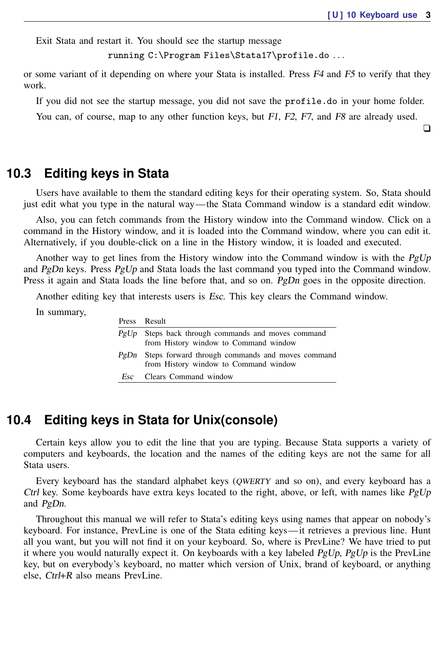Exit Stata and restart it. You should see the startup message

running C:\Program Files\Stata17\profile.do . . .

or some variant of it depending on where your Stata is installed. Press F4 and F5 to verify that they work.

If you did not see the startup message, you did not save the profile.do in your home folder.

You can, of course, map to any other function keys, but F1, F2, F7, and F8 are already used.

❏

## <span id="page-2-0"></span>**10.3 Editing keys in Stata**

Users have available to them the standard editing keys for their operating system. So, Stata should just edit what you type in the natural way—the Stata Command window is a standard edit window.

Also, you can fetch commands from the History window into the Command window. Click on a command in the History window, and it is loaded into the Command window, where you can edit it. Alternatively, if you double-click on a line in the History window, it is loaded and executed.

Another way to get lines from the History window into the Command window is with the PgUp and PgDn keys. Press PgUp and Stata loads the last command you typed into the Command window. Press it again and Stata loads the line before that, and so on. PgDn goes in the opposite direction.

Another editing key that interests users is Esc. This key clears the Command window.

In summary,

|      | Press Result                                                                                |
|------|---------------------------------------------------------------------------------------------|
|      | PgUp Steps back through commands and moves command<br>from History window to Command window |
| PgDn | Steps forward through commands and moves command<br>from History window to Command window   |
| Esc. | Clears Command window                                                                       |

## <span id="page-2-1"></span>**10.4 Editing keys in Stata for Unix(console)**

Certain keys allow you to edit the line that you are typing. Because Stata supports a variety of computers and keyboards, the location and the names of the editing keys are not the same for all Stata users.

Every keyboard has the standard alphabet keys (QWERTY and so on), and every keyboard has a Ctrl key. Some keyboards have extra keys located to the right, above, or left, with names like PgUp and PgDn.

Throughout this manual we will refer to Stata's editing keys using names that appear on nobody's keyboard. For instance, PrevLine is one of the Stata editing keys—it retrieves a previous line. Hunt all you want, but you will not find it on your keyboard. So, where is PrevLine? We have tried to put it where you would naturally expect it. On keyboards with a key labeled  $PgUp$ ,  $PgUp$  is the PrevLine key, but on everybody's keyboard, no matter which version of Unix, brand of keyboard, or anything else, Ctrl+R also means PrevLine.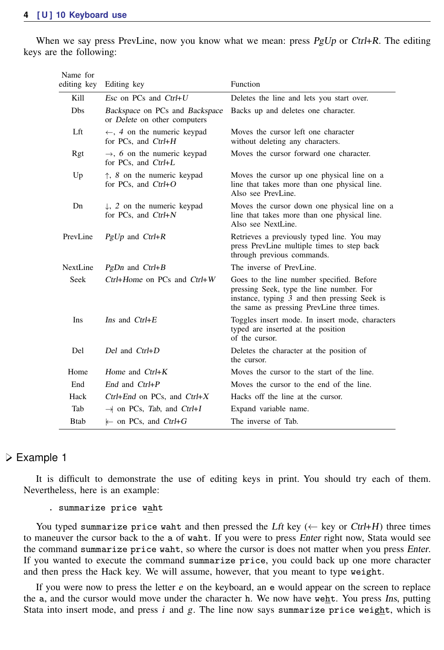When we say press PrevLine, now you know what we mean: press  $PgUp$  or Ctrl+R. The editing keys are the following:

| Name for<br>editing key | Editing key                                                     | Function                                                                                                                                                                            |
|-------------------------|-----------------------------------------------------------------|-------------------------------------------------------------------------------------------------------------------------------------------------------------------------------------|
| Kill                    | Esc on PCs and $Ctrl+U$                                         | Deletes the line and lets you start over.                                                                                                                                           |
| <b>Dbs</b>              | Backspace on PCs and Backspace<br>or Delete on other computers  | Backs up and deletes one character.                                                                                                                                                 |
| Lft                     | $\leftarrow$ , 4 on the numeric keypad<br>for PCs, and $Ctrl+H$ | Moves the cursor left one character<br>without deleting any characters.                                                                                                             |
| Rgt                     | $\rightarrow$ , 6 on the numeric keypad<br>for PCs, and Ctrl+L  | Moves the cursor forward one character.                                                                                                                                             |
| Up                      | $\uparrow$ , 8 on the numeric keypad<br>for PCs, and $Ctrl+O$   | Moves the cursor up one physical line on a<br>line that takes more than one physical line.<br>Also see PrevLine.                                                                    |
| Dn                      | $\downarrow$ , 2 on the numeric keypad<br>for PCs, and $Ctrl+N$ | Moves the cursor down one physical line on a<br>line that takes more than one physical line.<br>Also see NextLine.                                                                  |
| PrevLine                | $PgUp$ and $Ctrl+R$                                             | Retrieves a previously typed line. You may<br>press PrevLine multiple times to step back<br>through previous commands.                                                              |
| NextLine                | $PgDn$ and $Ctrl+B$                                             | The inverse of PrevLine.                                                                                                                                                            |
| Seek                    | $Ctrl+Home$ on PCs and $Ctrl+W$                                 | Goes to the line number specified. Before<br>pressing Seek, type the line number. For<br>instance, typing 3 and then pressing Seek is<br>the same as pressing PrevLine three times. |
| Ins                     | Ins and $Ctrl + E$                                              | Toggles insert mode. In insert mode, characters<br>typed are inserted at the position<br>of the cursor.                                                                             |
| Del                     | Del and Ctrl+D                                                  | Deletes the character at the position of<br>the cursor.                                                                                                                             |
| Home                    | Home and $Ctrl+K$                                               | Moves the cursor to the start of the line.                                                                                                                                          |
| End                     | $End$ and $Ctrl + P$                                            | Moves the cursor to the end of the line.                                                                                                                                            |
| Hack                    | $Ctrl+End$ on PCs, and $Ctrl+X$                                 | Hacks off the line at the cursor.                                                                                                                                                   |
| Tab                     | $\rightarrow$ on PCs, Tab, and Ctrl+I                           | Expand variable name.                                                                                                                                                               |
| <b>B</b> tab            | $\leftarrow$ on PCs, and Ctrl+G                                 | The inverse of Tab.                                                                                                                                                                 |

#### Example 1

It is difficult to demonstrate the use of editing keys in print. You should try each of them. Nevertheless, here is an example:

. summarize price waht

You typed summarize price waht and then pressed the Lft key  $(\leftarrow$  key or Ctrl+H) three times to maneuver the cursor back to the a of waht. If you were to press Enter right now, Stata would see the command summarize price waht, so where the cursor is does not matter when you press Enter. If you wanted to execute the command summarize price, you could back up one more character and then press the Hack key. We will assume, however, that you meant to type weight.

If you were now to press the letter e on the keyboard, an e would appear on the screen to replace the a, and the cursor would move under the character h. We now have weht. You press Ins, putting Stata into insert mode, and press i and g. The line now says summarize price weight, which is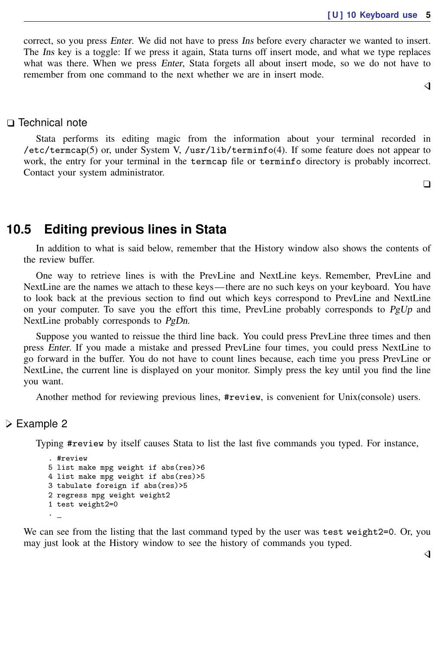correct, so you press Enter. We did not have to press Ins before every character we wanted to insert. The Ins key is a toggle: If we press it again, Stata turns off insert mode, and what we type replaces what was there. When we press *Enter*, Stata forgets all about insert mode, so we do not have to remember from one command to the next whether we are in insert mode.

◁

## □ Technical note

Stata performs its editing magic from the information about your terminal recorded in /etc/termcap(5) or, under System V, /usr/lib/terminfo(4). If some feature does not appear to work, the entry for your terminal in the termcap file or terminfo directory is probably incorrect. Contact your system administrator.

◘

## <span id="page-4-0"></span>**10.5 Editing previous lines in Stata**

In addition to what is said below, remember that the History window also shows the contents of the review buffer.

One way to retrieve lines is with the PrevLine and NextLine keys. Remember, PrevLine and NextLine are the names we attach to these keys—there are no such keys on your keyboard. You have to look back at the previous section to find out which keys correspond to PrevLine and NextLine on your computer. To save you the effort this time, PrevLine probably corresponds to  $PgUp$  and NextLine probably corresponds to PgDn.

Suppose you wanted to reissue the third line back. You could press PrevLine three times and then press Enter. If you made a mistake and pressed PrevLine four times, you could press NextLine to go forward in the buffer. You do not have to count lines because, each time you press PrevLine or NextLine, the current line is displayed on your monitor. Simply press the key until you find the line you want.

Another method for reviewing previous lines, #review, is convenient for Unix(console) users.

### **▷ Example 2**

Typing #review by itself causes Stata to list the last five commands you typed. For instance,

```
. #review
5 list make mpg weight if abs(res)>6
4 list make mpg weight if abs(res)>5
3 tabulate foreign if abs(res)>5
2 regress mpg weight weight2
1 test weight2=0
.
```
We can see from the listing that the last command typed by the user was test weight2=0. Or, you may just look at the History window to see the history of commands you typed.